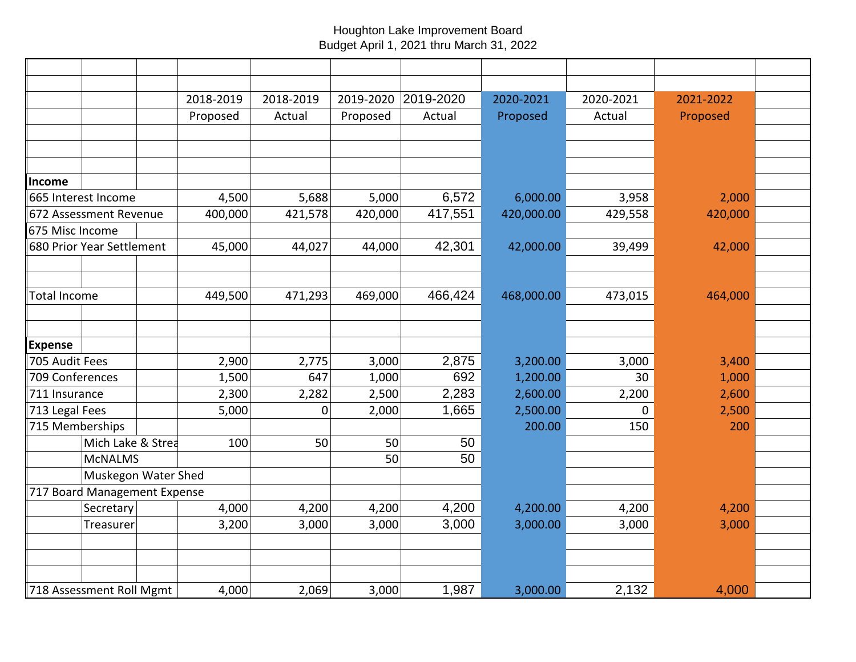## Houghton Lake Improvement Board Budget April 1, 2021 thru March 31, 2022

|                                  | 2018-2019 | 2018-2019   | 2019-2020 | 2019-2020 | 2020-2021  | 2020-2021 | 2021-2022 |  |
|----------------------------------|-----------|-------------|-----------|-----------|------------|-----------|-----------|--|
|                                  | Proposed  | Actual      | Proposed  | Actual    | Proposed   | Actual    | Proposed  |  |
|                                  |           |             |           |           |            |           |           |  |
|                                  |           |             |           |           |            |           |           |  |
|                                  |           |             |           |           |            |           |           |  |
| Income                           |           |             |           |           |            |           |           |  |
| 665 Interest Income              | 4,500     | 5,688       | 5,000     | 6,572     | 6,000.00   | 3,958     | 2,000     |  |
| 672 Assessment Revenue           | 400,000   | 421,578     | 420,000   | 417,551   | 420,000.00 | 429,558   | 420,000   |  |
| 675 Misc Income                  |           |             |           |           |            |           |           |  |
| 680 Prior Year Settlement        | 45,000    | 44,027      | 44,000    | 42,301    | 42,000.00  | 39,499    | 42,000    |  |
|                                  |           |             |           |           |            |           |           |  |
|                                  |           |             |           |           |            |           |           |  |
| Total Income                     | 449,500   | 471,293     | 469,000   | 466,424   | 468,000.00 | 473,015   | 464,000   |  |
|                                  |           |             |           |           |            |           |           |  |
|                                  |           |             |           |           |            |           |           |  |
| <b>Expense</b><br>705 Audit Fees | 2,900     | 2,775       | 3,000     | 2,875     | 3,200.00   | 3,000     | 3,400     |  |
| 709 Conferences                  | 1,500     | 647         | 1,000     | 692       | 1,200.00   | 30        | 1,000     |  |
| 711 Insurance                    | 2,300     | 2,282       | 2,500     | 2,283     | 2,600.00   | 2,200     | 2,600     |  |
| 713 Legal Fees                   | 5,000     | $\mathbf 0$ | 2,000     | 1,665     | 2,500.00   | $\Omega$  | 2,500     |  |
| 715 Memberships                  |           |             |           |           | 200.00     | 150       | 200       |  |
| Mich Lake & Strea                | 100       | 50          | 50        | 50        |            |           |           |  |
| <b>MCNALMS</b>                   |           |             | 50        | 50        |            |           |           |  |
| Muskegon Water Shed              |           |             |           |           |            |           |           |  |
| 717 Board Management Expense     |           |             |           |           |            |           |           |  |
| Secretary                        | 4,000     | 4,200       | 4,200     | 4,200     | 4,200.00   | 4,200     | 4,200     |  |
| Treasurer                        | 3,200     | 3,000       | 3,000     | 3,000     | 3,000.00   | 3,000     | 3,000     |  |
|                                  |           |             |           |           |            |           |           |  |
|                                  |           |             |           |           |            |           |           |  |
|                                  |           |             |           |           |            |           |           |  |
| 718 Assessment Roll Mgmt         | 4,000     | 2,069       | 3,000     | 1,987     | 3,000.00   | 2,132     | 4,000     |  |